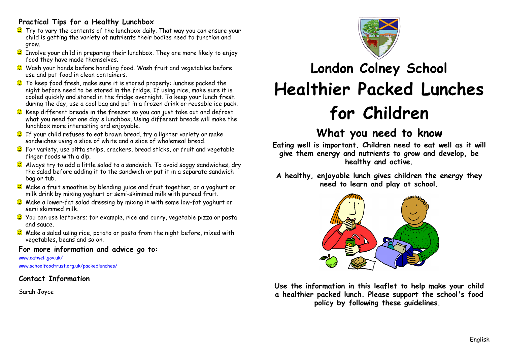### **Practical Tips for a Healthy Lunchbox**

- $\bullet$  Try to vary the contents of the lunchbox daily. That way you can ensure your child is getting the variety of nutrients their bodies need to function and grow.
- $\bullet$  Involve your child in preparing their lunchbox. They are more likely to enjoy food they have made themselves.
- Wash your hands before handling food. Wash fruit and vegetables before use and put food in clean containers.
- $\bullet$  To keep food fresh, make sure it is stored properly: lunches packed the night before need to be stored in the fridge. If using rice, make sure it is cooled quickly and stored in the fridge overnight. To keep your lunch fresh during the day, use a cool bag and put in a frozen drink or reusable ice pack.
- $\bullet$  Keep different breads in the freezer so you can just take out and defrost what you need for one day's lunchbox. Using different breads will make the lunchbox more interesting and enjoyable.
- **C** If your child refuses to eat brown bread, try a lighter variety or make sandwiches using a slice of white and a slice of wholemeal bread.
- For variety, use pitta strips, crackers, bread sticks, or fruit and vegetable finger foods with a dip.
- C Always try to add a little salad to a sandwich. To avoid soggy sandwiches, dry the salad before adding it to the sandwich or put it in a separate sandwich bag or tub.
- C Make a fruit smoothie by blending juice and fruit together, or a yoghurt or milk drink by mixing yoghurt or semi-skimmed milk with pureed fruit.
- C Make a lower-fat salad dressing by mixing it with some low-fat yoghurt or semi skimmed milk.
- You can use leftovers; for example, rice and curry, vegetable pizza or pasta and sauce.
- **C** Make a salad using rice, potato or pasta from the night before, mixed with vegetables, beans and so on.

#### **For more information and advice go to:**

#### www.eatwell.gov.uk/

www.schoolfoodtrust.org.uk/packedlunches/

### **Contact Information**

Sarah Joyce



# **London Colney School Healthier Packed Lunches for Children**

## **What you need to know**

**Eating well is important. Children need to eat well as it will give them energy and nutrients to grow and develop, be healthy and active.**

**A healthy, enjoyable lunch gives children the energy they need to learn and play at school.**



**Use the information in this leaflet to help make your child a healthier packed lunch. Please support the school's food policy by following these guidelines.**